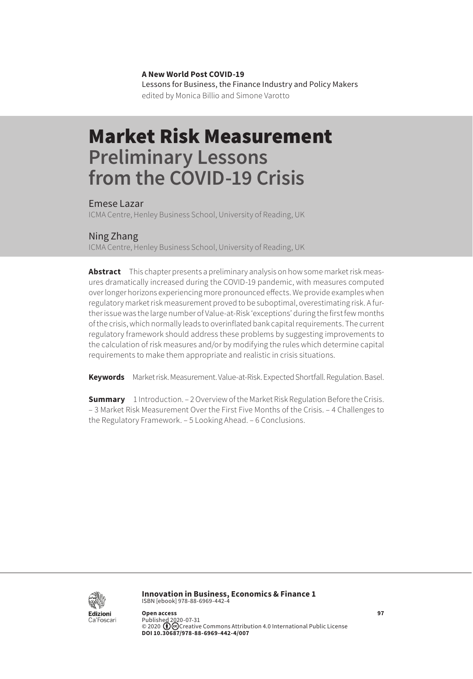**A New World Post COVID-19** Lessons for Business, the Finance Industry and Policy Makers edited by Monica Billio and Simone Varotto

# Market Risk Measurement **Preliminary Lessons from the COVID-19 Crisis**

Emese Lazar

ICMA Centre, Henley Business School, University of Reading, UK

#### Ning Zhang

ICMA Centre, Henley Business School, University of Reading, UK

**Abstract** This chapter presents a preliminary analysis on how some market risk measures dramatically increased during the COVID-19 pandemic, with measures computed over longer horizons experiencing more pronounced effects. We provide examples when regulatory market risk measurement proved to be suboptimal, overestimating risk. A further issue was the large number of Value-at-Risk 'exceptions' during the first few months of the crisis, which normally leads to overinflated bank capital requirements. The current regulatory framework should address these problems by suggesting improvements to the calculation of risk measures and/or by modifying the rules which determine capital requirements to make them appropriate and realistic in crisis situations.

**Keywords** Market risk. Measurement. Value-at-Risk. Expected Shortfall. Regulation. Basel.

**Summary** [1 Introduction](#page-1-0). – [2 Overview of the Market Risk Regulation Before the Crisis.](#page-1-0) [– 3 Market Risk Measurement Over the First Five Months of the Crisis](#page-3-0). [– 4 Challenges to](#page-5-0)  [the Regulatory Framework.](#page-5-0) [– 5 Looking Ahead](#page-7-0). [– 6 Conclusions](#page-7-0).



**Innovation in Business, Economics & Finance 1** ISBN [ebook] 978-88-6969-442-4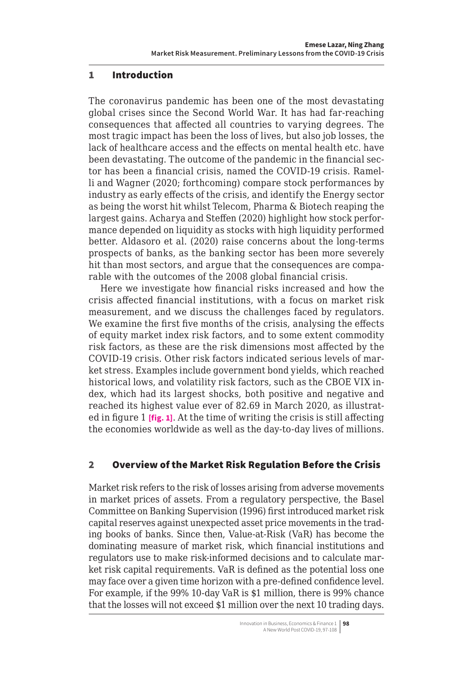## <span id="page-1-0"></span>1 Introduction

The coronavirus pandemic has been one of the most devastating global crises since the Second World War. It has had far-reaching consequences that affected all countries to varying degrees. The most tragic impact has been the loss of lives, but also job losses, the lack of healthcare access and the effects on mental health etc. have been devastating. The outcome of the pandemic in the financial sector has been a financial crisis, named the COVID-19 crisis. Ramelli and Wagner (2020; forthcoming) compare stock performances by industry as early effects of the crisis, and identify the Energy sector as being the worst hit whilst Telecom, Pharma & Biotech reaping the largest gains. Acharya and Steffen (2020) highlight how stock performance depended on liquidity as stocks with high liquidity performed better. Aldasoro et al. (2020) raise concerns about the long-terms prospects of banks, as the banking sector has been more severely hit than most sectors, and argue that the consequences are comparable with the outcomes of the 2008 global financial crisis.

Here we investigate how financial risks increased and how the crisis affected financial institutions, with a focus on market risk measurement, and we discuss the challenges faced by regulators. We examine the first five months of the crisis, analysing the effects of equity market index risk factors, and to some extent commodity risk factors, as these are the risk dimensions most affected by the COVID-19 crisis. Other risk factors indicated serious levels of market stress. Examples include government bond yields, which reached historical lows, and volatility risk factors, such as the CBOE VIX index, which had its largest shocks, both positive and negative and reached its highest value ever of 82.69 in March 2020, as illustrated in figure 1 **[fig. 1]**. At the time of writing the crisis is still affecting the economies worldwide as well as the day-to-day lives of millions.

## 2 Overview of the Market Risk Regulation Before the Crisis

Market risk refers to the risk of losses arising from adverse movements in market prices of assets. From a regulatory perspective, the Basel Committee on Banking Supervision (1996) first introduced market risk capital reserves against unexpected asset price movements in the trading books of banks. Since then, Value-at-Risk (VaR) has become the dominating measure of market risk, which financial institutions and regulators use to make risk-informed decisions and to calculate market risk capital requirements. VaR is defined as the potential loss one may face over a given time horizon with a pre-defined confidence level. For example, if the 99% 10-day VaR is \$1 million, there is 99% chance that the losses will not exceed \$1 million over the next 10 trading days.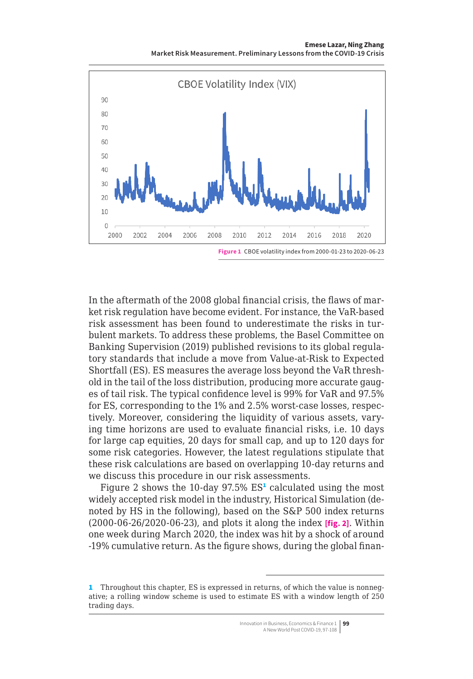**Emese Lazar, Ning Zhang Market Risk Measurement. Preliminary Lessons from the COVID-19 Crisis**



In the aftermath of the 2008 global financial crisis, the flaws of market risk regulation have become evident. For instance, the VaR-based risk assessment has been found to underestimate the risks in turbulent markets. To address these problems, the Basel Committee on Banking Supervision (2019) published revisions to its global regulatory standards that include a move from Value-at-Risk to Expected Shortfall (ES). ES measures the average loss beyond the VaR threshold in the tail of the loss distribution, producing more accurate gauges of tail risk. The typical confidence level is 99% for VaR and 97.5% for ES, corresponding to the 1% and 2.5% worst-case losses, respectively. Moreover, considering the liquidity of various assets, varying time horizons are used to evaluate financial risks, i.e. 10 days for large cap equities, 20 days for small cap, and up to 120 days for some risk categories. However, the latest regulations stipulate that these risk calculations are based on overlapping 10-day returns and we discuss this procedure in our risk assessments.

Figure 2 shows the 10-day 97.5%  $ES<sup>1</sup>$  calculated using the most widely accepted risk model in the industry, Historical Simulation (denoted by HS in the following), based on the S&P 500 index returns (2000-06-26/2020-06-23), and plots it along the index **[fig. 2]**. Within one week during March 2020, the index was hit by a shock of around -19% cumulative return. As the figure shows, during the global finan-

<sup>1</sup> Throughout this chapter, ES is expressed in returns, of which the value is nonnegative; a rolling window scheme is used to estimate ES with a window length of 250 trading days.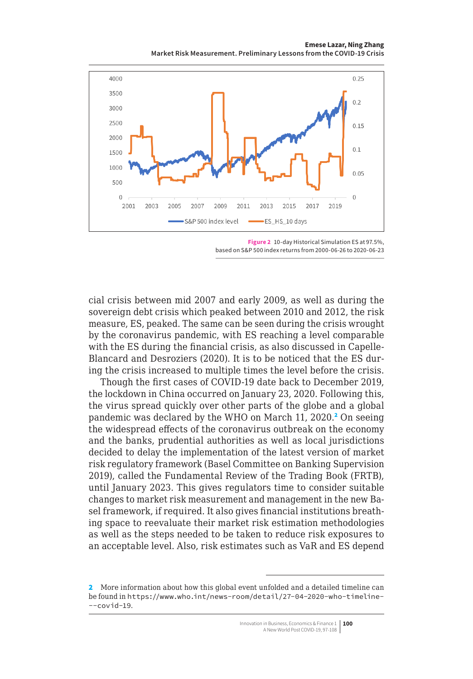**Emese Lazar, Ning Zhang Market Risk Measurement. Preliminary Lessons from the COVID-19 Crisis**

<span id="page-3-0"></span>

**Figure 2** 10-day Historical Simulation ES at 97.5%, based on S&P 500 index returns from 2000-06-26 to 2020-06-23

cial crisis between mid 2007 and early 2009, as well as during the sovereign debt crisis which peaked between 2010 and 2012, the risk measure, ES, peaked. The same can be seen during the crisis wrought by the coronavirus pandemic, with ES reaching a level comparable with the ES during the financial crisis, as also discussed in Capelle-Blancard and Desroziers (2020). It is to be noticed that the ES during the crisis increased to multiple times the level before the crisis.

Though the first cases of COVID-19 date back to December 2019, the lockdown in China occurred on January 23, 2020. Following this, the virus spread quickly over other parts of the globe and a global pandemic was declared by the WHO on March 11, 2020.<sup>2</sup> On seeing the widespread effects of the coronavirus outbreak on the economy and the banks, prudential authorities as well as local jurisdictions decided to delay the implementation of the latest version of market risk regulatory framework (Basel Committee on Banking Supervision 2019), called the Fundamental Review of the Trading Book (FRTB), until January 2023. This gives regulators time to consider suitable changes to market risk measurement and management in the new Basel framework, if required. It also gives financial institutions breathing space to reevaluate their market risk estimation methodologies as well as the steps needed to be taken to reduce risk exposures to an acceptable level. Also, risk estimates such as VaR and ES depend

<sup>2</sup> More information about how this global event unfolded and a detailed timeline can be found in [https://www.who.int/news-room/detail/27-04-2020-who-timeline-](https://www.who.int/news-room/detail/27-04-2020-who-timeline---covid-19)  $--covid-19.$  $--covid-19.$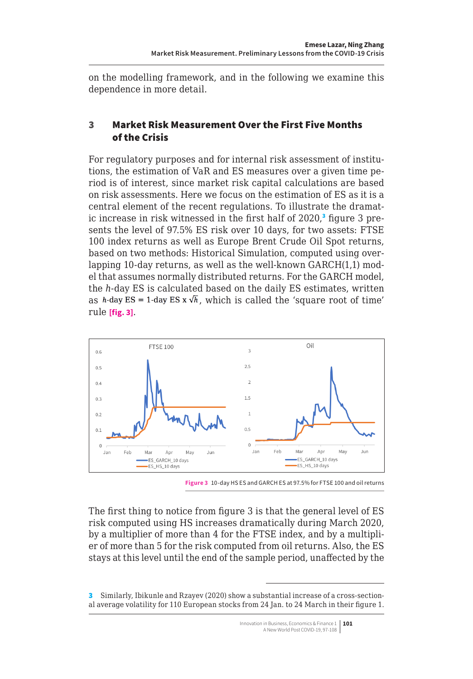on the modelling framework, and in the following we examine this dependence in more detail.

## 3 Market Risk Measurement Over the First Five Months of the Crisis

For regulatory purposes and for internal risk assessment of institutions, the estimation of VaR and ES measures over a given time period is of interest, since market risk capital calculations are based on risk assessments. Here we focus on the estimation of ES as it is a central element of the recent regulations. To illustrate the dramatic increase in risk witnessed in the first half of 2020,<sup>3</sup> figure 3 presents the level of 97.5% ES risk over 10 days, for two assets: FTSE 100 index returns as well as Europe Brent Crude Oil Spot returns, based on two methods: Historical Simulation, computed using overlapping 10-day returns, as well as the well-known GARCH(1,1) model that assumes normally distributed returns. For the GARCH model, the *h-*day ES is calculated based on the daily ES estimates, written as *h*-day ES = 1-day ES x  $\sqrt{h}$ , which is called the 'square root of time' rule **[fig. 3]**.



**Figure 3** 10-day HS ES and GARCH ES at 97.5% for FTSE 100 and oil returns

The first thing to notice from figure 3 is that the general level of ES risk computed using HS increases dramatically during March 2020, by a multiplier of more than 4 for the FTSE index, and by a multiplier of more than 5 for the risk computed from oil returns. Also, the ES stays at this level until the end of the sample period, unaffected by the

<sup>3</sup> Similarly, Ibikunle and Rzayev (2020) show a substantial increase of a cross-sectional average volatility for 110 European stocks from 24 Jan. to 24 March in their figure 1.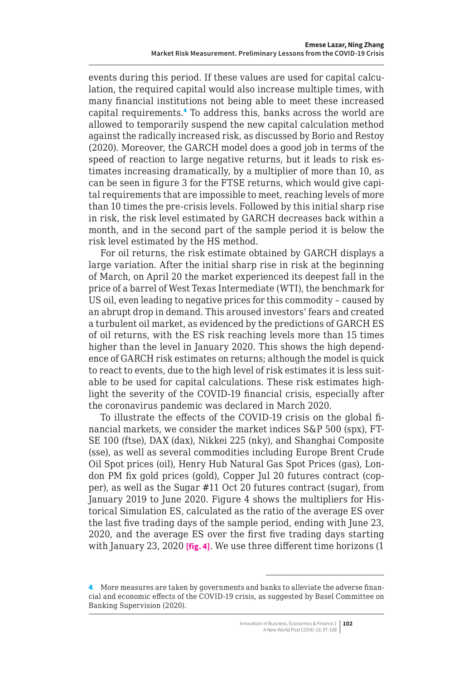<span id="page-5-0"></span>events during this period. If these values are used for capital calculation, the required capital would also increase multiple times, with many financial institutions not being able to meet these increased capital requirements.<sup>4</sup> To address this, banks across the world are allowed to temporarily suspend the new capital calculation method against the radically increased risk, as discussed by Borio and Restoy (2020). Moreover, the GARCH model does a good job in terms of the speed of reaction to large negative returns, but it leads to risk estimates increasing dramatically, by a multiplier of more than 10, as can be seen in figure 3 for the FTSE returns, which would give capital requirements that are impossible to meet, reaching levels of more than 10 times the pre-crisis levels. Followed by this initial sharp rise in risk, the risk level estimated by GARCH decreases back within a month, and in the second part of the sample period it is below the risk level estimated by the HS method.

For oil returns, the risk estimate obtained by GARCH displays a large variation. After the initial sharp rise in risk at the beginning of March, on April 20 the market experienced its deepest fall in the price of a barrel of West Texas Intermediate (WTI), the benchmark for US oil, even leading to negative prices for this commodity – caused by an abrupt drop in demand. This aroused investors' fears and created a turbulent oil market, as evidenced by the predictions of GARCH ES of oil returns, with the ES risk reaching levels more than 15 times higher than the level in January 2020. This shows the high dependence of GARCH risk estimates on returns; although the model is quick to react to events, due to the high level of risk estimates it is less suitable to be used for capital calculations. These risk estimates highlight the severity of the COVID-19 financial crisis, especially after the coronavirus pandemic was declared in March 2020.

To illustrate the effects of the COVID-19 crisis on the global financial markets, we consider the market indices S&P 500 (spx), FT-SE 100 (ftse), DAX (dax), Nikkei 225 (nky), and Shanghai Composite (sse), as well as several commodities including Europe Brent Crude Oil Spot prices (oil), Henry Hub Natural Gas Spot Prices (gas), London PM fix gold prices (gold), Copper Jul 20 futures contract (copper), as well as the Sugar #11 Oct 20 futures contract (sugar), from January 2019 to June 2020. Figure 4 shows the multipliers for Historical Simulation ES, calculated as the ratio of the average ES over the last five trading days of the sample period, ending with June 23, 2020, and the average ES over the first five trading days starting with January 23, 2020 **[fig. 4]**. We use three different time horizons (1

<sup>4</sup> More measures are taken by governments and banks to alleviate the adverse financial and economic effects of the COVID-19 crisis, as suggested by Basel Committee on Banking Supervision (2020).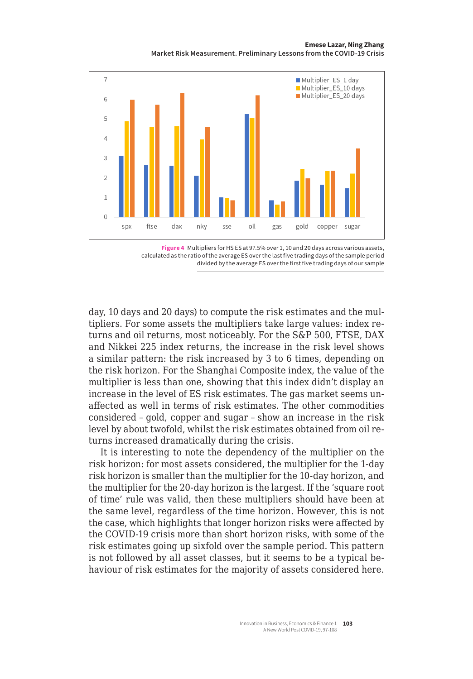**Emese Lazar, Ning Zhang Market Risk Measurement. Preliminary Lessons from the COVID-19 Crisis**





day, 10 days and 20 days) to compute the risk estimates and the multipliers. For some assets the multipliers take large values: index returns and oil returns, most noticeably. For the S&P 500, FTSE, DAX and Nikkei 225 index returns, the increase in the risk level shows a similar pattern: the risk increased by 3 to 6 times, depending on the risk horizon. For the Shanghai Composite index, the value of the multiplier is less than one, showing that this index didn't display an increase in the level of ES risk estimates. The gas market seems unaffected as well in terms of risk estimates. The other commodities considered – gold, copper and sugar – show an increase in the risk level by about twofold, whilst the risk estimates obtained from oil returns increased dramatically during the crisis.

It is interesting to note the dependency of the multiplier on the risk horizon: for most assets considered, the multiplier for the 1-day risk horizon is smaller than the multiplier for the 10-day horizon, and the multiplier for the 20-day horizon is the largest. If the 'square root of time' rule was valid, then these multipliers should have been at the same level, regardless of the time horizon. However, this is not the case, which highlights that longer horizon risks were affected by the COVID-19 crisis more than short horizon risks, with some of the risk estimates going up sixfold over the sample period. This pattern is not followed by all asset classes, but it seems to be a typical behaviour of risk estimates for the majority of assets considered here.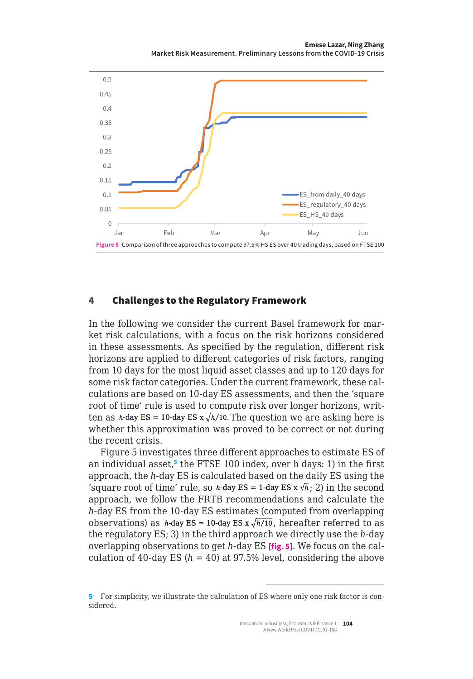**Emese Lazar, Ning Zhang Market Risk Measurement. Preliminary Lessons from the COVID-19 Crisis**

<span id="page-7-0"></span>

#### 4 Challenges to the Regulatory Framework

In the following we consider the current Basel framework for market risk calculations, with a focus on the risk horizons considered in these assessments. As specified by the regulation, different risk horizons are applied to different categories of risk factors, ranging from 10 days for the most liquid asset classes and up to 120 days for some risk factor categories. Under the current framework, these calculations are based on 10-day ES assessments, and then the 'square root of time' rule is used to compute risk over longer horizons, written as *h*-day ES = 10-day ES x  $\sqrt{h/10}$ . The question we are asking here is whether this approximation was proved to be correct or not during the recent crisis.

Figure 5 investigates three different approaches to estimate ES of an individual asset,<sup>5</sup> the FTSE 100 index, over h days: 1) in the first approach, the *h-*day ES is calculated based on the daily ES using the 'square root of time' rule, so *h*-day ES = 1-day ES x  $\sqrt{h}$ ; 2) in the second approach, we follow the FRTB recommendations and calculate the *h-*day ES from the 10-day ES estimates (computed from overlapping observations) as *h*-day ES = 10-day ES x  $\sqrt{h/10}$ , hereafter referred to as the regulatory ES; 3) in the third approach we directly use the *h-*day overlapping observations to get *h-*day ES **[fig. 5]**. We focus on the calculation of 40-day ES  $(h = 40)$  at 97.5% level, considering the above

<sup>5</sup> For simplicity, we illustrate the calculation of ES where only one risk factor is considered.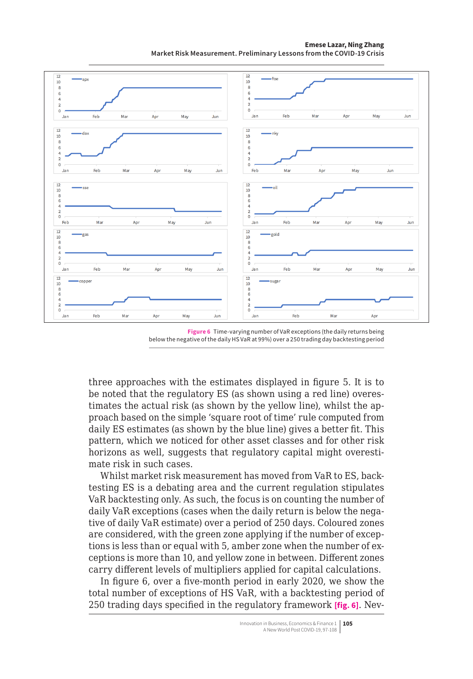$\overline{1}$ in.  $-$ ftee  $\frac{1}{10}$  $\frac{1}{10}$ 7  $\overline{6}$ ī J, 5  $\overline{a}$ ò Eeh Ánr May Esk Mai Anr May **Jun** Jun  $\overline{12}$  $12$ and<br>Alana nh  $\frac{1}{10}$  $\frac{1}{10}$  $\overline{R}$  $\frac{6}{6}$ ā 5  $\mathbf{0}$  $\overline{a}$ Feb .<br>Mar Apr May Feb .<br>Mai May .<br>Jun Jun Ani  $12$  $12$  $\overline{\phantom{a}}$  $\sim$  $\frac{1}{10}$  $\frac{1}{10}$  $\overline{8}$ ć ă  $\overline{0}$  $\ddot{\circ}$  $\overline{M}$ al .<br>May Feb Feb Mai May Jun Apr Jun Jan Apr  $\frac{1}{2}$  $\overline{12}$  $\overline{a}$ e ol d  $10$  $10$  $\frac{8}{6}$  $\frac{1}{2}$  $\frac{2}{0}$ lan Feb Ma Ap May Jur Jan Feb Mar Apr May Jun  $\overline{12}$  $\frac{12}{10}$ oppe suga  $10$ 5 ő Eeh lan Eeh Mar Anr May **Jun** Mar Ann lan

**Emese Lazar, Ning Zhang Market Risk Measurement. Preliminary Lessons from the COVID-19 Crisis**

**Figure 6** Time-varying number of VaR exceptions (the daily returns being below the negative of the daily HS VaR at 99%) over a 250 trading day backtesting period

three approaches with the estimates displayed in figure 5. It is to be noted that the regulatory ES (as shown using a red line) overestimates the actual risk (as shown by the yellow line), whilst the approach based on the simple 'square root of time' rule computed from daily ES estimates (as shown by the blue line) gives a better fit. This pattern, which we noticed for other asset classes and for other risk horizons as well, suggests that regulatory capital might overestimate risk in such cases.

Whilst market risk measurement has moved from VaR to ES, backtesting ES is a debating area and the current regulation stipulates VaR backtesting only. As such, the focus is on counting the number of daily VaR exceptions (cases when the daily return is below the negative of daily VaR estimate) over a period of 250 days. Coloured zones are considered, with the green zone applying if the number of exceptions is less than or equal with 5, amber zone when the number of exceptions is more than 10, and yellow zone in between. Different zones carry different levels of multipliers applied for capital calculations.

In figure 6, over a five-month period in early 2020, we show the total number of exceptions of HS VaR, with a backtesting period of 250 trading days specified in the regulatory framework **[fig. 6]**. Nev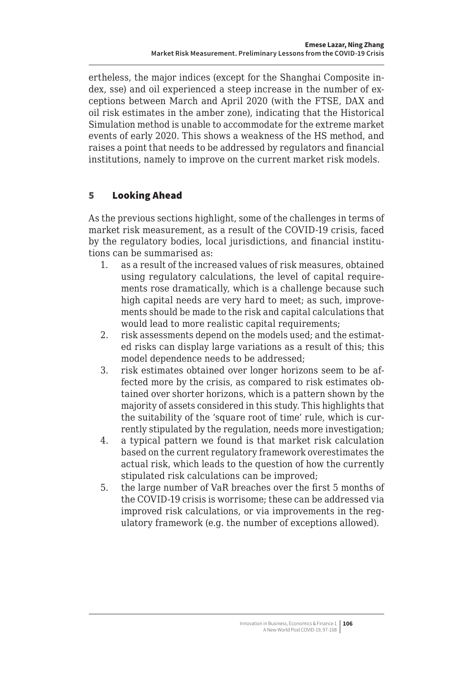ertheless, the major indices (except for the Shanghai Composite index, sse) and oil experienced a steep increase in the number of exceptions between March and April 2020 (with the FTSE, DAX and oil risk estimates in the amber zone), indicating that the Historical Simulation method is unable to accommodate for the extreme market events of early 2020. This shows a weakness of the HS method, and raises a point that needs to be addressed by regulators and financial institutions, namely to improve on the current market risk models.

# 5 Looking Ahead

As the previous sections highlight, some of the challenges in terms of market risk measurement, as a result of the COVID-19 crisis, faced by the regulatory bodies, local jurisdictions, and financial institutions can be summarised as:

- 1. as a result of the increased values of risk measures, obtained using regulatory calculations, the level of capital requirements rose dramatically, which is a challenge because such high capital needs are very hard to meet; as such, improvements should be made to the risk and capital calculations that would lead to more realistic capital requirements;
- 2. risk assessments depend on the models used; and the estimated risks can display large variations as a result of this; this model dependence needs to be addressed;
- 3. risk estimates obtained over longer horizons seem to be affected more by the crisis, as compared to risk estimates obtained over shorter horizons, which is a pattern shown by the majority of assets considered in this study. This highlights that the suitability of the 'square root of time' rule, which is currently stipulated by the regulation, needs more investigation;
- 4. a typical pattern we found is that market risk calculation based on the current regulatory framework overestimates the actual risk, which leads to the question of how the currently stipulated risk calculations can be improved;
- 5. the large number of VaR breaches over the first 5 months of the COVID-19 crisis is worrisome; these can be addressed via improved risk calculations, or via improvements in the regulatory framework (e.g. the number of exceptions allowed).